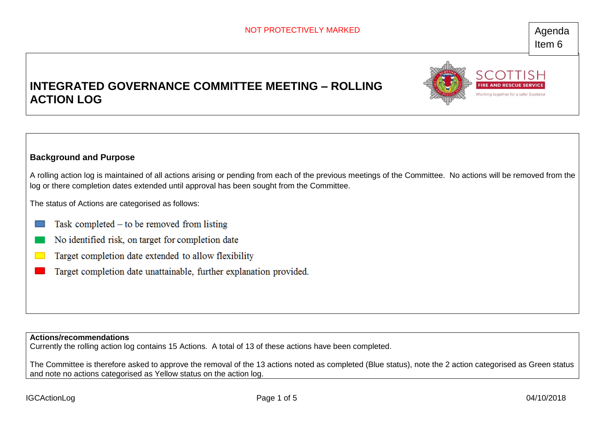# **INTEGRATED GOVERNANCE COMMITTEE MEETING – ROLLING ACTION LOG**



#### **Background and Purpose**

A rolling action log is maintained of all actions arising or pending from each of the previous meetings of the Committee. No actions will be removed from the log or there completion dates extended until approval has been sought from the Committee.

The status of Actions are categorised as follows:

- Task completed  $-$  to be removed from listing
- No identified risk, on target for completion date
- Target completion date extended to allow flexibility  $\mathcal{L}(\mathcal{A})$
- Target completion date unattainable, further explanation provided.

#### **Actions/recommendations**

Currently the rolling action log contains 15 Actions. A total of 13 of these actions have been completed.

The Committee is therefore asked to approve the removal of the 13 actions noted as completed (Blue status), note the 2 action categorised as Green status and note no actions categorised as Yellow status on the action log.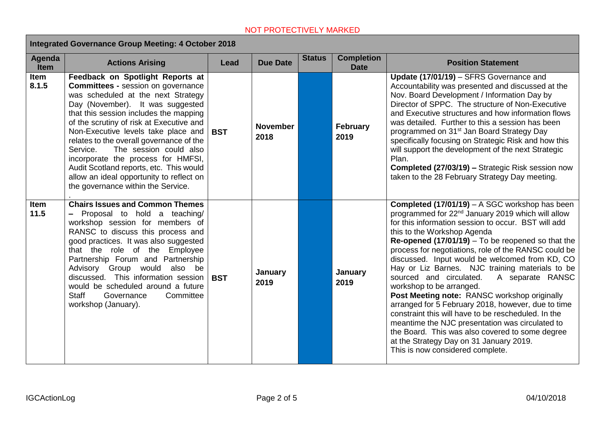## NOT PROTECTIVELY MARKED

| Integrated Governance Group Meeting: 4 October 2018 |                                                                                                                                                                                                                                                                                                                                                                                                                                                                                                                                           |            |                         |               |                                  |                                                                                                                                                                                                                                                                                                                                                                                                                                                                                                                                                                                                                                                                                                                                                                                                                                                        |
|-----------------------------------------------------|-------------------------------------------------------------------------------------------------------------------------------------------------------------------------------------------------------------------------------------------------------------------------------------------------------------------------------------------------------------------------------------------------------------------------------------------------------------------------------------------------------------------------------------------|------------|-------------------------|---------------|----------------------------------|--------------------------------------------------------------------------------------------------------------------------------------------------------------------------------------------------------------------------------------------------------------------------------------------------------------------------------------------------------------------------------------------------------------------------------------------------------------------------------------------------------------------------------------------------------------------------------------------------------------------------------------------------------------------------------------------------------------------------------------------------------------------------------------------------------------------------------------------------------|
| Agenda<br>Item                                      | <b>Actions Arising</b>                                                                                                                                                                                                                                                                                                                                                                                                                                                                                                                    | Lead       | <b>Due Date</b>         | <b>Status</b> | <b>Completion</b><br><b>Date</b> | <b>Position Statement</b>                                                                                                                                                                                                                                                                                                                                                                                                                                                                                                                                                                                                                                                                                                                                                                                                                              |
| <b>Item</b><br>8.1.5                                | Feedback on Spotlight Reports at<br><b>Committees - session on governance</b><br>was scheduled at the next Strategy<br>Day (November). It was suggested<br>that this session includes the mapping<br>of the scrutiny of risk at Executive and<br>Non-Executive levels take place and<br>relates to the overall governance of the<br>The session could also<br>Service.<br>incorporate the process for HMFSI,<br>Audit Scotland reports, etc. This would<br>allow an ideal opportunity to reflect on<br>the governance within the Service. | <b>BST</b> | <b>November</b><br>2018 |               | February<br>2019                 | Update (17/01/19) - SFRS Governance and<br>Accountability was presented and discussed at the<br>Nov. Board Development / Information Day by<br>Director of SPPC. The structure of Non-Executive<br>and Executive structures and how information flows<br>was detailed. Further to this a session has been<br>programmed on 31 <sup>st</sup> Jan Board Strategy Day<br>specifically focusing on Strategic Risk and how this<br>will support the development of the next Strategic<br>Plan.<br><b>Completed (27/03/19) - Strategic Risk session now</b><br>taken to the 28 February Strategy Day meeting.                                                                                                                                                                                                                                                |
| <b>Item</b><br>11.5                                 | <b>Chairs Issues and Common Themes</b><br>- Proposal to hold a teaching/<br>workshop session for members of<br>RANSC to discuss this process and<br>good practices. It was also suggested<br>that the role of the Employee<br>Partnership Forum and Partnership<br>Advisory Group would<br>also be<br>discussed. This information session<br>would be scheduled around a future<br>Staff<br>Governance<br>Committee<br>workshop (January).                                                                                                | <b>BST</b> | January<br>2019         |               | January<br>2019                  | Completed (17/01/19) - A SGC workshop has been<br>programmed for 22 <sup>nd</sup> January 2019 which will allow<br>for this information session to occur. BST will add<br>this to the Workshop Agenda<br>Re-opened $(17/01/19)$ – To be reopened so that the<br>process for negotiations, role of the RANSC could be<br>discussed. Input would be welcomed from KD, CO<br>Hay or Liz Barnes. NJC training materials to be<br>sourced and circulated.<br>A separate RANSC<br>workshop to be arranged.<br>Post Meeting note: RANSC workshop originally<br>arranged for 5 February 2018, however, due to time<br>constraint this will have to be rescheduled. In the<br>meantime the NJC presentation was circulated to<br>the Board. This was also covered to some degree<br>at the Strategy Day on 31 January 2019.<br>This is now considered complete. |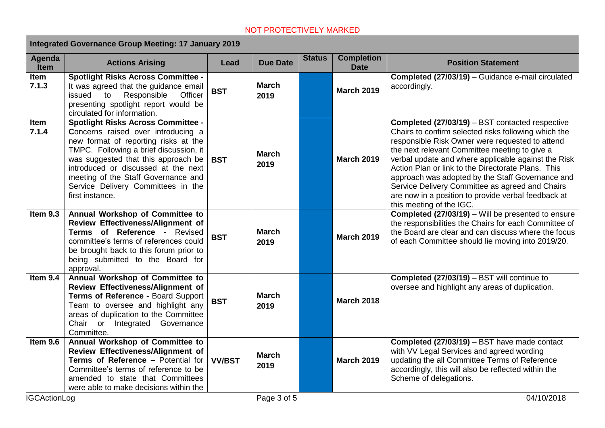## NOT PROTECTIVELY MARKED

| <b>Integrated Governance Group Meeting: 17 January 2019</b> |                                                                                                                                                                                                                                                                                                                                                 |               |                      |               |                                  |                                                                                                                                                                                                                                                                                                                                                                                                                                                                                                                    |  |
|-------------------------------------------------------------|-------------------------------------------------------------------------------------------------------------------------------------------------------------------------------------------------------------------------------------------------------------------------------------------------------------------------------------------------|---------------|----------------------|---------------|----------------------------------|--------------------------------------------------------------------------------------------------------------------------------------------------------------------------------------------------------------------------------------------------------------------------------------------------------------------------------------------------------------------------------------------------------------------------------------------------------------------------------------------------------------------|--|
| Agenda<br>Item                                              | <b>Actions Arising</b>                                                                                                                                                                                                                                                                                                                          | Lead          | <b>Due Date</b>      | <b>Status</b> | <b>Completion</b><br><b>Date</b> | <b>Position Statement</b>                                                                                                                                                                                                                                                                                                                                                                                                                                                                                          |  |
| Item<br>7.1.3                                               | <b>Spotlight Risks Across Committee -</b><br>It was agreed that the guidance email<br>Responsible<br>Officer<br>issued<br>to<br>presenting spotlight report would be<br>circulated for information.                                                                                                                                             | <b>BST</b>    | <b>March</b><br>2019 |               | <b>March 2019</b>                | Completed (27/03/19) - Guidance e-mail circulated<br>accordingly.                                                                                                                                                                                                                                                                                                                                                                                                                                                  |  |
| Item<br>7.1.4                                               | <b>Spotlight Risks Across Committee -</b><br>Concerns raised over introducing a<br>new format of reporting risks at the<br>TMPC. Following a brief discussion, it<br>was suggested that this approach be<br>introduced or discussed at the next<br>meeting of the Staff Governance and<br>Service Delivery Committees in the<br>first instance. | <b>BST</b>    | <b>March</b><br>2019 |               | <b>March 2019</b>                | Completed (27/03/19) - BST contacted respective<br>Chairs to confirm selected risks following which the<br>responsible Risk Owner were requested to attend<br>the next relevant Committee meeting to give a<br>verbal update and where applicable against the Risk<br>Action Plan or link to the Directorate Plans. This<br>approach was adopted by the Staff Governance and<br>Service Delivery Committee as agreed and Chairs<br>are now in a position to provide verbal feedback at<br>this meeting of the IGC. |  |
| Item 9.3                                                    | Annual Workshop of Committee to<br>Review Effectiveness/Alignment of<br>Terms of Reference - Revised<br>committee's terms of references could<br>be brought back to this forum prior to<br>being submitted to the Board for<br>approval.                                                                                                        | <b>BST</b>    | <b>March</b><br>2019 |               | <b>March 2019</b>                | Completed (27/03/19) - Will be presented to ensure<br>the responsibilities the Chairs for each Committee of<br>the Board are clear and can discuss where the focus<br>of each Committee should lie moving into 2019/20.                                                                                                                                                                                                                                                                                            |  |
| Item 9.4                                                    | Annual Workshop of Committee to<br>Review Effectiveness/Alignment of<br>Terms of Reference - Board Support<br>Team to oversee and highlight any<br>areas of duplication to the Committee<br>Chair or Integrated Governance<br>Committee.                                                                                                        | <b>BST</b>    | <b>March</b><br>2019 |               | <b>March 2018</b>                | Completed (27/03/19) - BST will continue to<br>oversee and highlight any areas of duplication.                                                                                                                                                                                                                                                                                                                                                                                                                     |  |
| Item $9.\overline{6}$                                       | Annual Workshop of Committee to<br>Review Effectiveness/Alignment of<br><b>Terms of Reference - Potential for</b><br>Committee's terms of reference to be<br>amended to state that Committees<br>were able to make decisions within the                                                                                                         | <b>VV/BST</b> | <b>March</b><br>2019 |               | <b>March 2019</b>                | Completed (27/03/19) - BST have made contact<br>with VV Legal Services and agreed wording<br>updating the all Committee Terms of Reference<br>accordingly, this will also be reflected within the<br>Scheme of delegations.                                                                                                                                                                                                                                                                                        |  |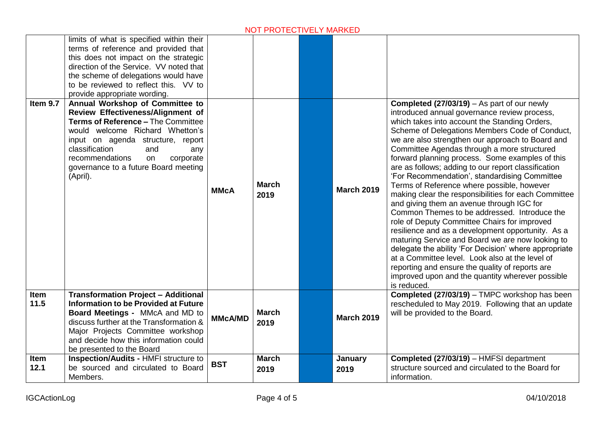#### NOT PROTECTIVELY MARKED

|              | limits of what is specified within their<br>terms of reference and provided that<br>this does not impact on the strategic<br>direction of the Service. VV noted that<br>the scheme of delegations would have<br>to be reviewed to reflect this. VV to<br>provide appropriate wording.                        |                |                      |                   |                                                                                                                                                                                                                                                                                                                                                                                                                                                                                                                                                                                                                                                                                                                                                                                                                                                                                                                                                                                                                                                            |
|--------------|--------------------------------------------------------------------------------------------------------------------------------------------------------------------------------------------------------------------------------------------------------------------------------------------------------------|----------------|----------------------|-------------------|------------------------------------------------------------------------------------------------------------------------------------------------------------------------------------------------------------------------------------------------------------------------------------------------------------------------------------------------------------------------------------------------------------------------------------------------------------------------------------------------------------------------------------------------------------------------------------------------------------------------------------------------------------------------------------------------------------------------------------------------------------------------------------------------------------------------------------------------------------------------------------------------------------------------------------------------------------------------------------------------------------------------------------------------------------|
| Item 9.7     | Annual Workshop of Committee to<br>Review Effectiveness/Alignment of<br>Terms of Reference - The Committee<br>would welcome Richard Whetton's<br>input on agenda structure, report<br>classification<br>and<br>any<br>recommendations<br>on<br>corporate<br>governance to a future Board meeting<br>(April). | <b>MMcA</b>    | <b>March</b><br>2019 | <b>March 2019</b> | Completed (27/03/19) - As part of our newly<br>introduced annual governance review process,<br>which takes into account the Standing Orders,<br>Scheme of Delegations Members Code of Conduct,<br>we are also strengthen our approach to Board and<br>Committee Agendas through a more structured<br>forward planning process. Some examples of this<br>are as follows; adding to our report classification<br>'For Recommendation', standardising Committee<br>Terms of Reference where possible, however<br>making clear the responsibilities for each Committee<br>and giving them an avenue through IGC for<br>Common Themes to be addressed. Introduce the<br>role of Deputy Committee Chairs for improved<br>resilience and as a development opportunity. As a<br>maturing Service and Board we are now looking to<br>delegate the ability 'For Decision' where appropriate<br>at a Committee level. Look also at the level of<br>reporting and ensure the quality of reports are<br>improved upon and the quantity wherever possible<br>is reduced. |
| Item<br>11.5 | <b>Transformation Project - Additional</b><br>Information to be Provided at Future<br>Board Meetings - MMcA and MD to<br>discuss further at the Transformation &<br>Major Projects Committee workshop<br>and decide how this information could<br>be presented to the Board                                  | <b>MMcA/MD</b> | <b>March</b><br>2019 | <b>March 2019</b> | Completed (27/03/19) - TMPC workshop has been<br>rescheduled to May 2019. Following that an update<br>will be provided to the Board.                                                                                                                                                                                                                                                                                                                                                                                                                                                                                                                                                                                                                                                                                                                                                                                                                                                                                                                       |
| Item<br>12.1 | <b>Inspection/Audits - HMFI structure to</b><br>be sourced and circulated to Board<br>Members.                                                                                                                                                                                                               | <b>BST</b>     | <b>March</b><br>2019 | January<br>2019   | Completed (27/03/19) - HMFSI department<br>structure sourced and circulated to the Board for<br>information.                                                                                                                                                                                                                                                                                                                                                                                                                                                                                                                                                                                                                                                                                                                                                                                                                                                                                                                                               |